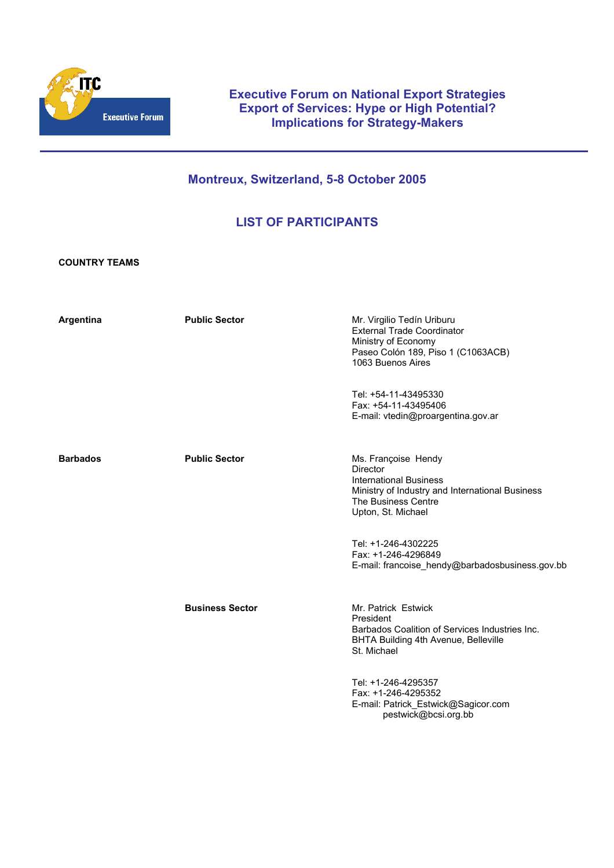

# **Executive Forum on National Export Strategies Export of Services: Hype or High Potential? Implications for Strategy-Makers**

# **Montreux, Switzerland, 5-8 October 2005**

# **LIST OF PARTICIPANTS**

**COUNTRY TEAMS** 

| Argentina       | <b>Public Sector</b>   | Mr. Virgilio Tedín Uriburu<br>External Trade Coordinator<br>Ministry of Economy<br>Paseo Colón 189, Piso 1 (C1063ACB)<br>1063 Buenos Aires                       |
|-----------------|------------------------|------------------------------------------------------------------------------------------------------------------------------------------------------------------|
|                 |                        | Tel: +54-11-43495330<br>Fax: +54-11-43495406<br>E-mail: vtedin@proargentina.gov.ar                                                                               |
| <b>Barbados</b> | <b>Public Sector</b>   | Ms. Françoise Hendy<br>Director<br><b>International Business</b><br>Ministry of Industry and International Business<br>The Business Centre<br>Upton, St. Michael |
|                 |                        | Tel: +1-246-4302225<br>Fax: +1-246-4296849<br>E-mail: francoise_hendy@barbadosbusiness.gov.bb                                                                    |
|                 | <b>Business Sector</b> | Mr. Patrick Estwick<br>President<br>Barbados Coalition of Services Industries Inc.<br>BHTA Building 4th Avenue, Belleville<br>St. Michael                        |
|                 |                        | Tel: +1-246-4295357<br>Fax: +1-246-4295352<br>E-mail: Patrick_Estwick@Sagicor.com<br>pestwick@bcsi.org.bb                                                        |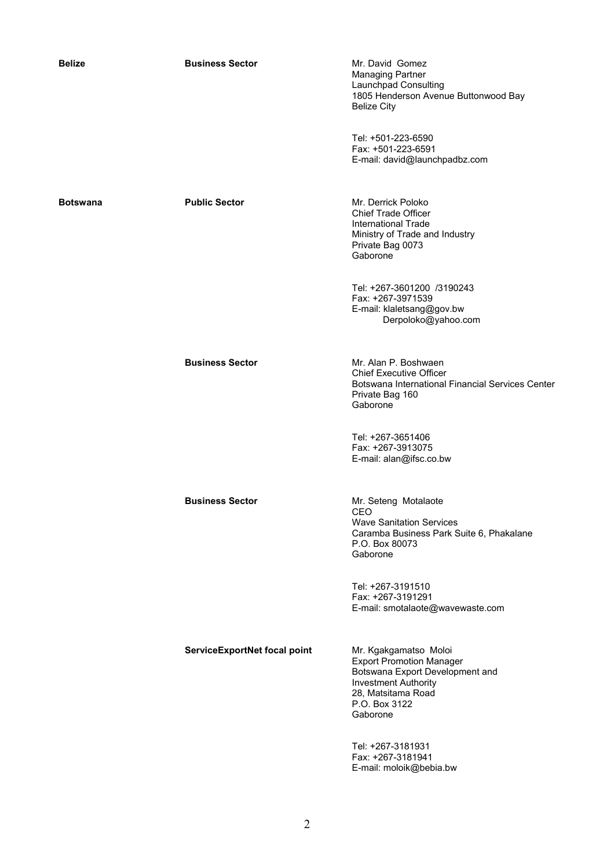| <b>Belize</b>   | <b>Business Sector</b>       | Mr. David Gomez<br><b>Managing Partner</b><br>Launchpad Consulting<br>1805 Henderson Avenue Buttonwood Bay<br><b>Belize City</b>                                              |
|-----------------|------------------------------|-------------------------------------------------------------------------------------------------------------------------------------------------------------------------------|
|                 |                              | Tel: +501-223-6590<br>Fax: +501-223-6591<br>E-mail: david@launchpadbz.com                                                                                                     |
| <b>Botswana</b> | <b>Public Sector</b>         | Mr. Derrick Poloko<br><b>Chief Trade Officer</b><br><b>International Trade</b><br>Ministry of Trade and Industry<br>Private Bag 0073<br>Gaborone                              |
|                 |                              | Tel: +267-3601200 /3190243<br>Fax: +267-3971539<br>E-mail: klaletsang@gov.bw<br>Derpoloko@yahoo.com                                                                           |
|                 | <b>Business Sector</b>       | Mr. Alan P. Boshwaen<br><b>Chief Executive Officer</b><br>Botswana International Financial Services Center<br>Private Bag 160<br>Gaborone                                     |
|                 |                              | Tel: +267-3651406<br>Fax: +267-3913075<br>E-mail: alan@ifsc.co.bw                                                                                                             |
|                 | <b>Business Sector</b>       | Mr. Seteng Motalaote<br>CEO<br><b>Wave Sanitation Services</b><br>Caramba Business Park Suite 6, Phakalane<br>P.O. Box 80073<br>Gaborone                                      |
|                 |                              | Tel: +267-3191510<br>Fax: +267-3191291<br>E-mail: smotalaote@wavewaste.com                                                                                                    |
|                 | ServiceExportNet focal point | Mr. Kgakgamatso Moloi<br><b>Export Promotion Manager</b><br>Botswana Export Development and<br><b>Investment Authority</b><br>28, Matsitama Road<br>P.O. Box 3122<br>Gaborone |
|                 |                              | Tel: +267-3181931                                                                                                                                                             |

Tel: +267-3181931 Fax: +267-3181941 E-mail: moloik@bebia.bw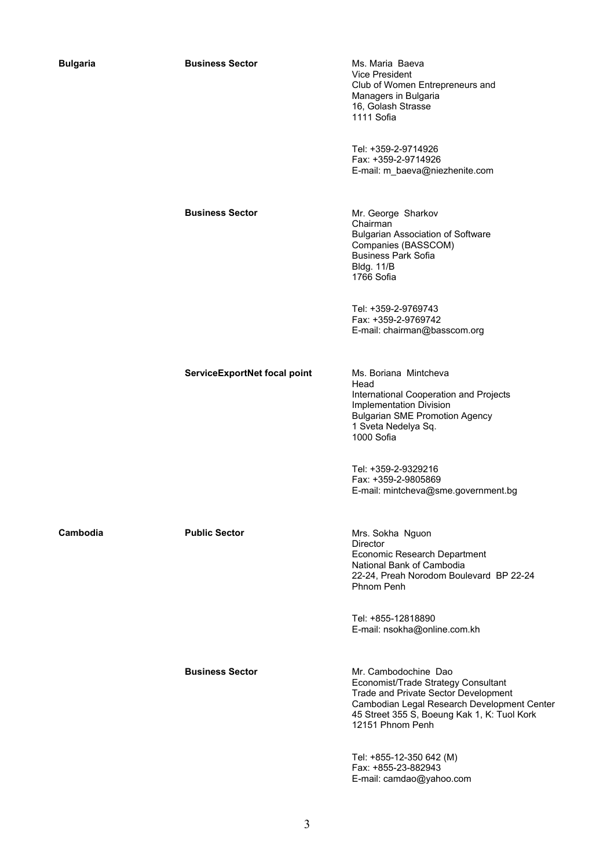| <b>Bulgaria</b> | <b>Business Sector</b>       | Ms. Maria Baeva<br>Vice President<br>Club of Women Entrepreneurs and<br>Managers in Bulgaria<br>16, Golash Strasse<br>1111 Sofia                                                                                      |
|-----------------|------------------------------|-----------------------------------------------------------------------------------------------------------------------------------------------------------------------------------------------------------------------|
|                 |                              | Tel: +359-2-9714926<br>Fax: +359-2-9714926<br>E-mail: m_baeva@niezhenite.com                                                                                                                                          |
|                 | <b>Business Sector</b>       | Mr. George Sharkov<br>Chairman<br><b>Bulgarian Association of Software</b><br>Companies (BASSCOM)<br><b>Business Park Sofia</b><br><b>Bldg. 11/B</b><br>1766 Sofia                                                    |
|                 |                              | Tel: +359-2-9769743<br>Fax: +359-2-9769742<br>E-mail: chairman@basscom.org                                                                                                                                            |
|                 | ServiceExportNet focal point | Ms. Boriana Mintcheva<br>Head<br>International Cooperation and Projects<br>Implementation Division<br><b>Bulgarian SME Promotion Agency</b><br>1 Sveta Nedelya Sq.<br>1000 Sofia                                      |
|                 |                              | Tel: +359-2-9329216<br>Fax: +359-2-9805869<br>E-mail: mintcheva@sme.government.bg                                                                                                                                     |
| Cambodia        | <b>Public Sector</b>         | Mrs. Sokha Nguon<br>Director<br>Economic Research Department<br>National Bank of Cambodia<br>22-24, Preah Norodom Boulevard BP 22-24<br>Phnom Penh                                                                    |
|                 |                              | Tel: +855-12818890<br>E-mail: nsokha@online.com.kh                                                                                                                                                                    |
|                 | <b>Business Sector</b>       | Mr. Cambodochine Dao<br>Economist/Trade Strategy Consultant<br>Trade and Private Sector Development<br>Cambodian Legal Research Development Center<br>45 Street 355 S, Boeung Kak 1, K: Tuol Kork<br>12151 Phnom Penh |

Tel: +855-12-350 642 (M) Fax: +855-23-882943 E-mail: camdao@yahoo.com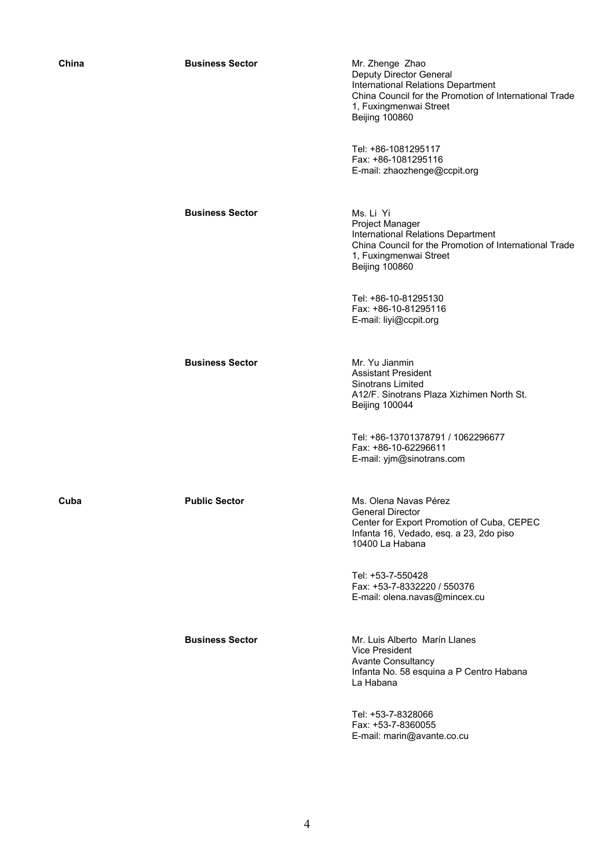| China | <b>Business Sector</b> | Mr. Zhenge Zhao<br>Deputy Director General<br>International Relations Department<br>China Council for the Promotion of International Trade<br>1, Fuxingmenwai Street<br><b>Beijing 100860</b> |
|-------|------------------------|-----------------------------------------------------------------------------------------------------------------------------------------------------------------------------------------------|
|       |                        | Tel: +86-1081295117<br>Fax: +86-1081295116<br>E-mail: zhaozhenge@ccpit.org                                                                                                                    |
|       | <b>Business Sector</b> | Ms. Li Yi<br>Project Manager<br>International Relations Department<br>China Council for the Promotion of International Trade<br>1, Fuxingmenwai Street<br><b>Beijing 100860</b>               |
|       |                        | Tel: +86-10-81295130<br>Fax: +86-10-81295116<br>E-mail: liyi@ccpit.org                                                                                                                        |
|       | <b>Business Sector</b> | Mr. Yu Jianmin<br><b>Assistant President</b><br>Sinotrans Limited<br>A12/F. Sinotrans Plaza Xizhimen North St.<br><b>Beijing 100044</b>                                                       |
|       |                        | Tel: +86-13701378791 / 1062296677<br>Fax: +86-10-62296611<br>E-mail: yjm@sinotrans.com                                                                                                        |
| Cuba  | <b>Public Sector</b>   | Ms. Olena Navas Pérez<br>General Director<br>Center for Export Promotion of Cuba, CEPEC<br>Infanta 16, Vedado, esq. a 23, 2do piso<br>10400 La Habana                                         |
|       |                        | Tel: +53-7-550428<br>Fax: +53-7-8332220 / 550376<br>E-mail: olena.navas@mincex.cu                                                                                                             |
|       | <b>Business Sector</b> | Mr. Luis Alberto Marín Llanes<br><b>Vice President</b><br>Avante Consultancy<br>Infanta No. 58 esquina a P Centro Habana<br>La Habana                                                         |
|       |                        | $T_{\text{all}}$ , $F2 = 2.0200000$                                                                                                                                                           |

Tel: +53-7-8328066 Fax: +53-7-8360055 E-mail: marin@avante.co.cu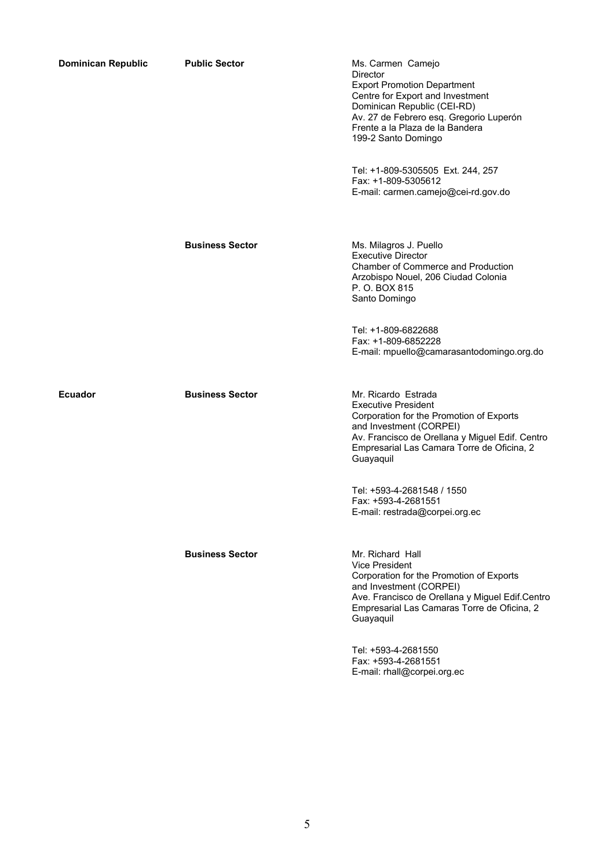| <b>Dominican Republic</b> | <b>Public Sector</b>   | Ms. Carmen Camejo<br>Director<br><b>Export Promotion Department</b><br>Centre for Export and Investment<br>Dominican Republic (CEI-RD)<br>Av. 27 de Febrero esq. Gregorio Luperón<br>Frente a la Plaza de la Bandera<br>199-2 Santo Domingo |
|---------------------------|------------------------|---------------------------------------------------------------------------------------------------------------------------------------------------------------------------------------------------------------------------------------------|
|                           |                        | Tel: +1-809-5305505 Ext. 244, 257<br>Fax: +1-809-5305612<br>E-mail: carmen.camejo@cei-rd.gov.do                                                                                                                                             |
|                           | <b>Business Sector</b> | Ms. Milagros J. Puello<br><b>Executive Director</b><br>Chamber of Commerce and Production<br>Arzobispo Nouel, 206 Ciudad Colonia<br>P. O. BOX 815<br>Santo Domingo                                                                          |
|                           |                        | Tel: +1-809-6822688<br>Fax: +1-809-6852228<br>E-mail: mpuello@camarasantodomingo.org.do                                                                                                                                                     |
| <b>Ecuador</b>            | <b>Business Sector</b> | Mr. Ricardo Estrada<br><b>Executive President</b><br>Corporation for the Promotion of Exports<br>and Investment (CORPEI)<br>Av. Francisco de Orellana y Miguel Edif. Centro<br>Empresarial Las Camara Torre de Oficina, 2<br>Guayaquil      |
|                           |                        | Tel: +593-4-2681548 / 1550<br>Fax: +593-4-2681551<br>E-mail: restrada@corpei.org.ec                                                                                                                                                         |
|                           | <b>Business Sector</b> | Mr. Richard Hall<br>Vice President<br>Corporation for the Promotion of Exports<br>and Investment (CORPEI)<br>Ave. Francisco de Orellana y Miguel Edif.Centro<br>Empresarial Las Camaras Torre de Oficina, 2<br>Guayaquil                    |
|                           |                        | Tel: +593-4-2681550<br>Fax: +593-4-2681551<br>E-mail: rhall@corpei.org.ec                                                                                                                                                                   |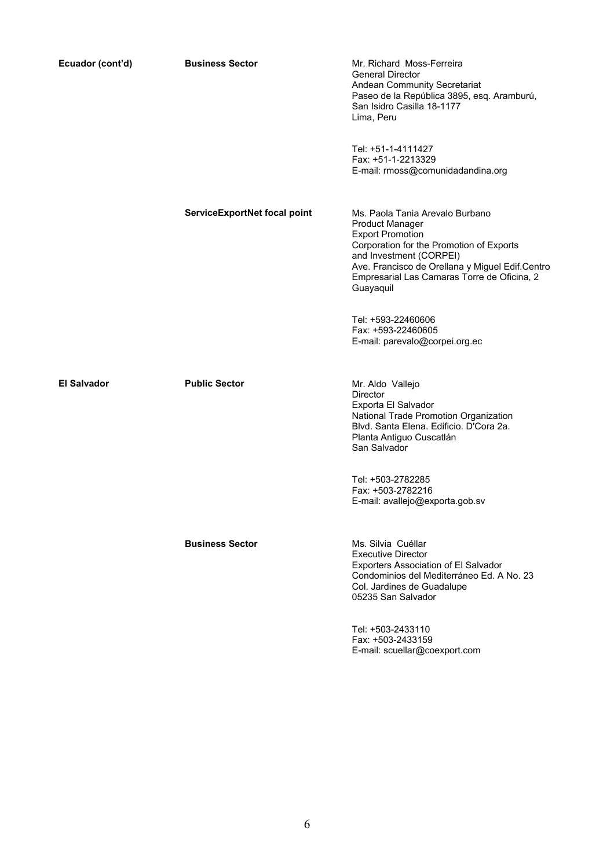| Ecuador (cont'd)   | <b>Business Sector</b>       | Mr. Richard Moss-Ferreira<br><b>General Director</b><br>Andean Community Secretariat<br>Paseo de la República 3895, esq. Aramburú,<br>San Isidro Casilla 18-1177<br>Lima, Peru                                                                                             |
|--------------------|------------------------------|----------------------------------------------------------------------------------------------------------------------------------------------------------------------------------------------------------------------------------------------------------------------------|
|                    |                              | Tel: +51-1-4111427<br>Fax: +51-1-2213329<br>E-mail: rmoss@comunidadandina.org                                                                                                                                                                                              |
|                    | ServiceExportNet focal point | Ms. Paola Tania Arevalo Burbano<br><b>Product Manager</b><br><b>Export Promotion</b><br>Corporation for the Promotion of Exports<br>and Investment (CORPEI)<br>Ave. Francisco de Orellana y Miguel Edif.Centro<br>Empresarial Las Camaras Torre de Oficina, 2<br>Guayaquil |
|                    |                              | Tel: +593-22460606<br>Fax: +593-22460605<br>E-mail: parevalo@corpei.org.ec                                                                                                                                                                                                 |
| <b>El Salvador</b> | <b>Public Sector</b>         | Mr. Aldo Vallejo<br>Director<br>Exporta El Salvador<br>National Trade Promotion Organization<br>Blvd. Santa Elena. Edificio. D'Cora 2a.<br>Planta Antiguo Cuscatlán<br>San Salvador                                                                                        |
|                    |                              | Tel: +503-2782285<br>Fax: +503-2782216<br>E-mail: avallejo@exporta.gob.sv                                                                                                                                                                                                  |
|                    | <b>Business Sector</b>       | Ms. Silvia Cuéllar<br><b>Executive Director</b><br>Exporters Association of El Salvador<br>Condominios del Mediterráneo Ed. A No. 23<br>Col. Jardines de Guadalupe<br>05235 San Salvador                                                                                   |
|                    |                              | Tel: +503-2433110<br>Fax: +503-2433159<br>E-mail: scuellar@coexport.com                                                                                                                                                                                                    |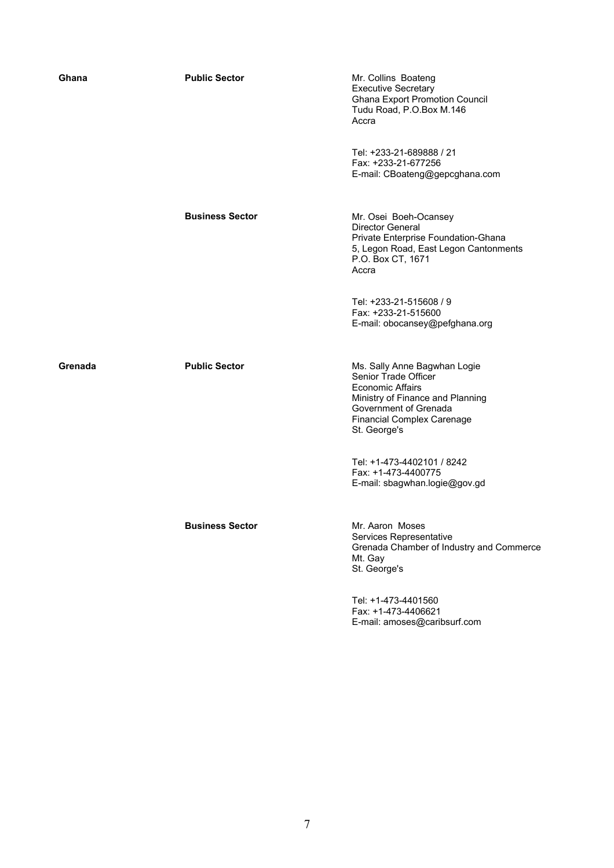| Ghana   | <b>Public Sector</b>   | Mr. Collins Boateng<br><b>Executive Secretary</b><br><b>Ghana Export Promotion Council</b><br>Tudu Road, P.O.Box M.146<br>Accra<br>Tel: +233-21-689888 / 21                                       |
|---------|------------------------|---------------------------------------------------------------------------------------------------------------------------------------------------------------------------------------------------|
|         |                        | Fax: +233-21-677256<br>E-mail: CBoateng@gepcghana.com                                                                                                                                             |
|         | <b>Business Sector</b> | Mr. Osei Boeh-Ocansey<br>Director General<br>Private Enterprise Foundation-Ghana<br>5, Legon Road, East Legon Cantonments<br>P.O. Box CT, 1671<br>Accra                                           |
|         |                        | Tel: +233-21-515608 / 9<br>Fax: +233-21-515600<br>E-mail: obocansey@pefghana.org                                                                                                                  |
| Grenada | <b>Public Sector</b>   | Ms. Sally Anne Bagwhan Logie<br>Senior Trade Officer<br><b>Economic Affairs</b><br>Ministry of Finance and Planning<br>Government of Grenada<br><b>Financial Complex Carenage</b><br>St. George's |
|         |                        | Tel: +1-473-4402101 / 8242<br>Fax: +1-473-4400775<br>E-mail: sbagwhan.logie@gov.gd                                                                                                                |
|         | <b>Business Sector</b> | Mr. Aaron Moses<br>Services Representative<br>Grenada Chamber of Industry and Commerce<br>Mt. Gay<br>St. George's                                                                                 |
|         |                        | Tel: +1-473-4401560<br>Fax: +1-473-4406621<br>E-mail: amoses@caribsurf.com                                                                                                                        |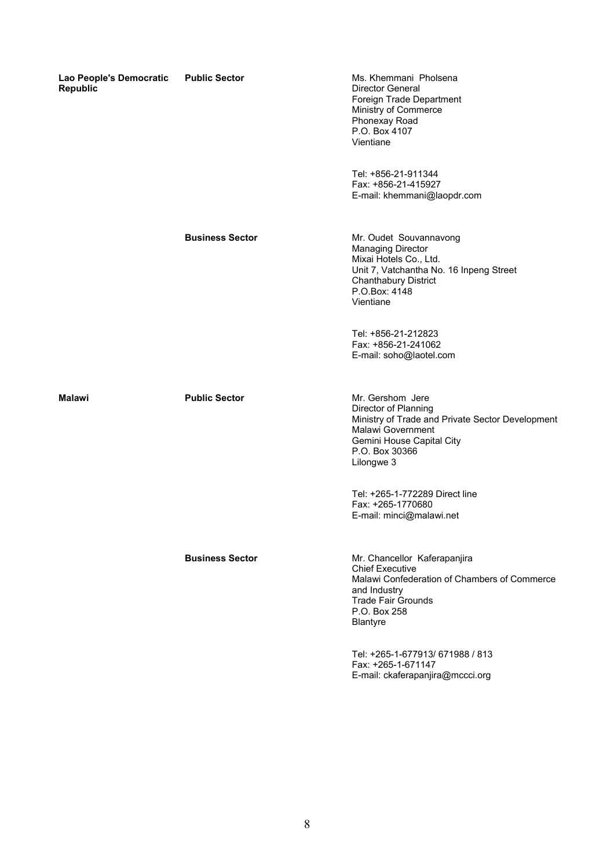| Lao People's Democratic<br><b>Republic</b> | <b>Public Sector</b>   | Ms. Khemmani Pholsena<br><b>Director General</b><br>Foreign Trade Department<br>Ministry of Commerce<br>Phonexay Road<br>P.O. Box 4107<br>Vientiane                                  |
|--------------------------------------------|------------------------|--------------------------------------------------------------------------------------------------------------------------------------------------------------------------------------|
|                                            |                        | Tel: +856-21-911344<br>Fax: +856-21-415927<br>E-mail: khemmani@laopdr.com                                                                                                            |
|                                            | <b>Business Sector</b> | Mr. Oudet Souvannavong<br><b>Managing Director</b><br>Mixai Hotels Co., Ltd.<br>Unit 7, Vatchantha No. 16 Inpeng Street<br><b>Chanthabury District</b><br>P.O.Box: 4148<br>Vientiane |
|                                            |                        | Tel: +856-21-212823<br>Fax: +856-21-241062<br>E-mail: soho@laotel.com                                                                                                                |
| <b>Malawi</b>                              | <b>Public Sector</b>   | Mr. Gershom Jere<br>Director of Planning<br>Ministry of Trade and Private Sector Development<br>Malawi Government<br>Gemini House Capital City<br>P.O. Box 30366<br>Lilongwe 3       |
|                                            |                        | Tel: +265-1-772289 Direct line<br>Fax: +265-1770680<br>E-mail: minci@malawi.net                                                                                                      |
|                                            | <b>Business Sector</b> | Mr. Chancellor Kaferapanjira<br><b>Chief Executive</b><br>Malawi Confederation of Chambers of Commerce<br>and Industry<br><b>Trade Fair Grounds</b><br>P.O. Box 258<br>Blantyre      |
|                                            |                        | Tel: +265-1-677913/ 671988 / 813<br>Fax: +265-1-671147<br>E-mail: ckaferapanjira@mccci.org                                                                                           |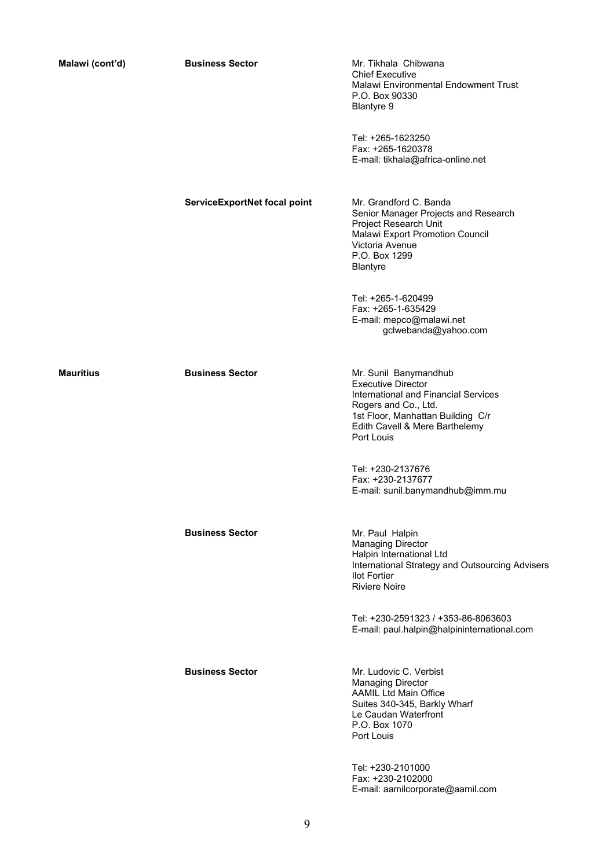| Malawi (cont'd)  | <b>Business Sector</b>       | Mr. Tikhala Chibwana<br><b>Chief Executive</b><br>Malawi Environmental Endowment Trust<br>P.O. Box 90330<br><b>Blantyre 9</b>                                                                           |
|------------------|------------------------------|---------------------------------------------------------------------------------------------------------------------------------------------------------------------------------------------------------|
|                  |                              | Tel: +265-1623250<br>Fax: +265-1620378<br>E-mail: tikhala@africa-online.net                                                                                                                             |
|                  | ServiceExportNet focal point | Mr. Grandford C. Banda<br>Senior Manager Projects and Research<br>Project Research Unit<br>Malawi Export Promotion Council<br>Victoria Avenue<br>P.O. Box 1299<br><b>Blantyre</b>                       |
|                  |                              | Tel: +265-1-620499<br>Fax: +265-1-635429<br>E-mail: mepco@malawi.net<br>gclwebanda@yahoo.com                                                                                                            |
| <b>Mauritius</b> | <b>Business Sector</b>       | Mr. Sunil Banymandhub<br><b>Executive Director</b><br>International and Financial Services<br>Rogers and Co., Ltd.<br>1st Floor, Manhattan Building C/r<br>Edith Cavell & Mere Barthelemy<br>Port Louis |
|                  |                              | Tel: +230-2137676<br>Fax: +230-2137677<br>E-mail: sunil.banymandhub@imm.mu                                                                                                                              |
|                  | <b>Business Sector</b>       | Mr. Paul Halpin<br><b>Managing Director</b><br>Halpin International Ltd<br>International Strategy and Outsourcing Advisers<br><b>Ilot Fortier</b><br><b>Riviere Noire</b>                               |
|                  |                              | Tel: +230-2591323 / +353-86-8063603<br>E-mail: paul.halpin@halpininternational.com                                                                                                                      |
|                  | <b>Business Sector</b>       | Mr. Ludovic C. Verbist<br><b>Managing Director</b><br><b>AAMIL Ltd Main Office</b><br>Suites 340-345, Barkly Wharf<br>Le Caudan Waterfront<br>P.O. Box 1070<br>Port Louis                               |
|                  |                              | Tel: +230-2101000<br>Fax: +230-2102000<br>E-mail: aamilcorporate@aamil.com                                                                                                                              |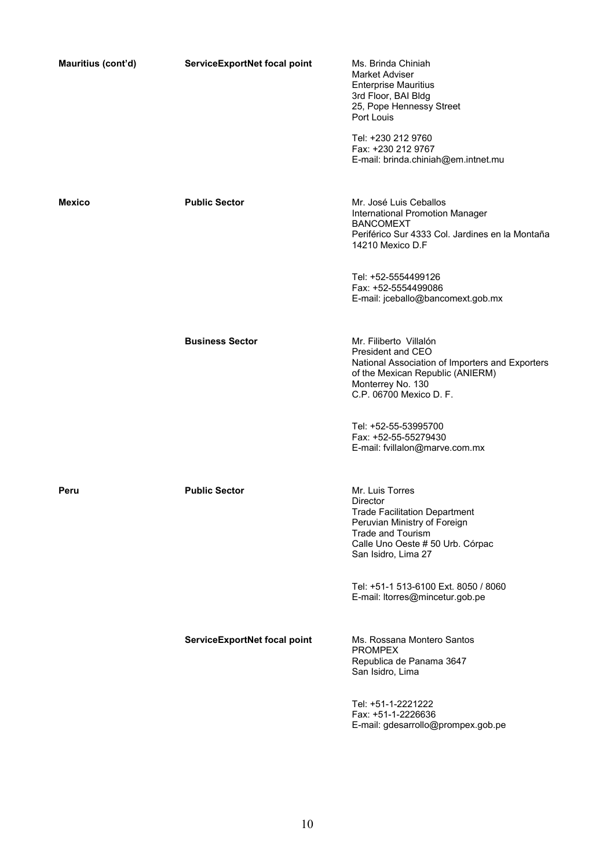| Mauritius (cont'd) | ServiceExportNet focal point | Ms. Brinda Chiniah<br>Market Adviser<br><b>Enterprise Mauritius</b><br>3rd Floor, BAI Bldg<br>25, Pope Hennessy Street<br>Port Louis                                                       |
|--------------------|------------------------------|--------------------------------------------------------------------------------------------------------------------------------------------------------------------------------------------|
|                    |                              | Tel: +230 212 9760<br>Fax: +230 212 9767<br>E-mail: brinda.chiniah@em.intnet.mu                                                                                                            |
| <b>Mexico</b>      | <b>Public Sector</b>         | Mr. José Luis Ceballos<br>International Promotion Manager<br><b>BANCOMEXT</b><br>Periférico Sur 4333 Col. Jardines en la Montaña<br>14210 Mexico D.F                                       |
|                    |                              | Tel: +52-5554499126<br>Fax: +52-5554499086<br>E-mail: jceballo@bancomext.gob.mx                                                                                                            |
|                    | <b>Business Sector</b>       | Mr. Filiberto Villalón<br>President and CEO<br>National Association of Importers and Exporters<br>of the Mexican Republic (ANIERM)<br>Monterrey No. 130<br>C.P. 06700 Mexico D. F.         |
|                    |                              | Tel: +52-55-53995700<br>Fax: +52-55-55279430<br>E-mail: fvillalon@marve.com.mx                                                                                                             |
| Peru               | <b>Public Sector</b>         | Mr. Luis Torres<br>Director<br><b>Trade Facilitation Department</b><br>Peruvian Ministry of Foreign<br><b>Trade and Tourism</b><br>Calle Uno Oeste # 50 Urb. Córpac<br>San Isidro, Lima 27 |
|                    |                              | Tel: +51-1 513-6100 Ext. 8050 / 8060<br>E-mail: ltorres@mincetur.gob.pe                                                                                                                    |
|                    | ServiceExportNet focal point | Ms. Rossana Montero Santos<br><b>PROMPEX</b><br>Republica de Panama 3647<br>San Isidro, Lima                                                                                               |
|                    |                              | Tel: +51-1-2221222<br>Fax: +51-1-2226636<br>E-mail: gdesarrollo@prompex.gob.pe                                                                                                             |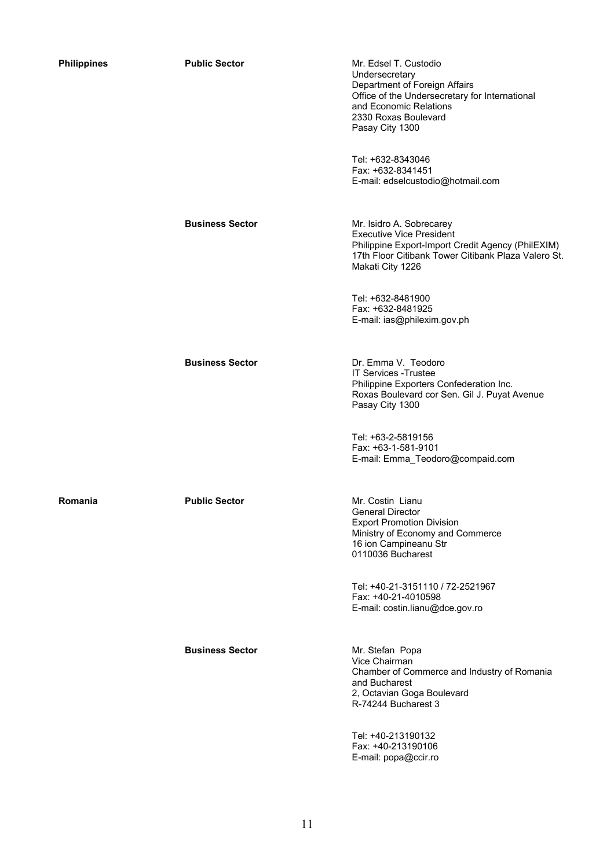| <b>Philippines</b> | <b>Public Sector</b>   | Mr. Edsel T. Custodio<br>Undersecretary<br>Department of Foreign Affairs<br>Office of the Undersecretary for International<br>and Economic Relations<br>2330 Roxas Boulevard<br>Pasay City 1300 |
|--------------------|------------------------|-------------------------------------------------------------------------------------------------------------------------------------------------------------------------------------------------|
|                    |                        | Tel: +632-8343046<br>Fax: +632-8341451<br>E-mail: edselcustodio@hotmail.com                                                                                                                     |
|                    | <b>Business Sector</b> | Mr. Isidro A. Sobrecarey<br><b>Executive Vice President</b><br>Philippine Export-Import Credit Agency (PhilEXIM)<br>17th Floor Citibank Tower Citibank Plaza Valero St.<br>Makati City 1226     |
|                    |                        | Tel: +632-8481900<br>Fax: +632-8481925<br>E-mail: ias@philexim.gov.ph                                                                                                                           |
|                    | <b>Business Sector</b> | Dr. Emma V. Teodoro<br><b>IT Services - Trustee</b><br>Philippine Exporters Confederation Inc.<br>Roxas Boulevard cor Sen. Gil J. Puyat Avenue<br>Pasay City 1300                               |
|                    |                        | Tel: +63-2-5819156<br>Fax: +63-1-581-9101<br>E-mail: Emma Teodoro@compaid.com                                                                                                                   |
| Romania            | <b>Public Sector</b>   | Mr. Costin Lianu<br><b>General Director</b><br><b>Export Promotion Division</b><br>Ministry of Economy and Commerce<br>16 ion Campineanu Str<br>0110036 Bucharest                               |
|                    |                        | Tel: +40-21-3151110 / 72-2521967<br>Fax: +40-21-4010598<br>E-mail: costin.lianu@dce.gov.ro                                                                                                      |
|                    | <b>Business Sector</b> | Mr. Stefan Popa<br>Vice Chairman<br>Chamber of Commerce and Industry of Romania<br>and Bucharest<br>2, Octavian Goga Boulevard<br>R-74244 Bucharest 3                                           |
|                    |                        | $T_0$ $H_1$ $H_2$ $H_3$ $H_2$ $H_3$ $H_4$                                                                                                                                                       |

Tel: +40-213190132 Fax: +40-213190106 E-mail: popa@ccir.ro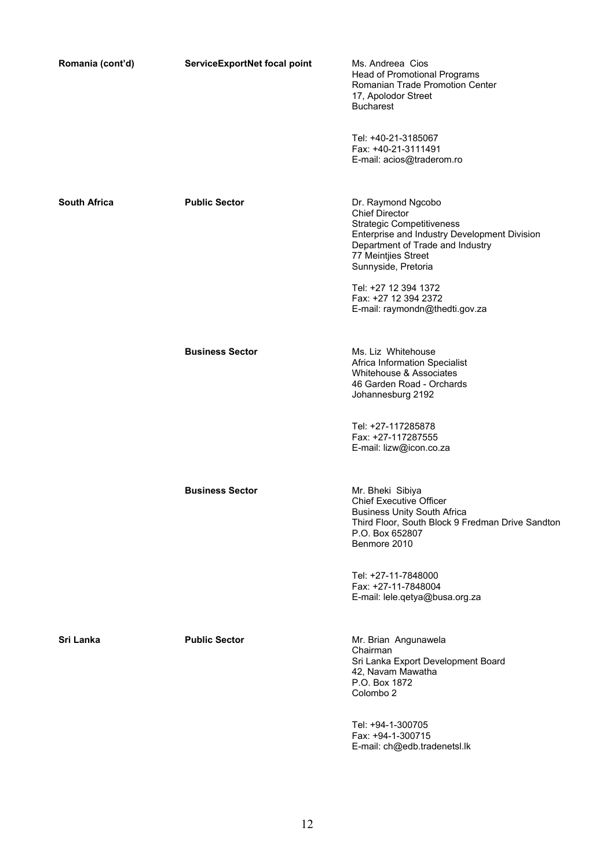| Romania (cont'd)    | ServiceExportNet focal point | Ms. Andreea Cios<br><b>Head of Promotional Programs</b><br>Romanian Trade Promotion Center<br>17, Apolodor Street<br><b>Bucharest</b>                                                                                                                                                               |
|---------------------|------------------------------|-----------------------------------------------------------------------------------------------------------------------------------------------------------------------------------------------------------------------------------------------------------------------------------------------------|
|                     |                              | Tel: +40-21-3185067<br>Fax: +40-21-3111491<br>E-mail: acios@traderom.ro                                                                                                                                                                                                                             |
| <b>South Africa</b> | <b>Public Sector</b>         | Dr. Raymond Ngcobo<br><b>Chief Director</b><br><b>Strategic Competitiveness</b><br>Enterprise and Industry Development Division<br>Department of Trade and Industry<br>77 Meintjies Street<br>Sunnyside, Pretoria<br>Tel: +27 12 394 1372<br>Fax: +27 12 394 2372<br>E-mail: raymondn@thedti.gov.za |
|                     | <b>Business Sector</b>       | Ms. Liz Whitehouse<br>Africa Information Specialist<br>Whitehouse & Associates<br>46 Garden Road - Orchards<br>Johannesburg 2192<br>Tel: +27-117285878<br>Fax: +27-117287555<br>E-mail: lizw@icon.co.za                                                                                             |
|                     | <b>Business Sector</b>       | Mr. Bheki Sibiya<br><b>Chief Executive Officer</b><br><b>Business Unity South Africa</b><br>Third Floor, South Block 9 Fredman Drive Sandton<br>P.O. Box 652807<br>Benmore 2010                                                                                                                     |
|                     |                              | Tel: +27-11-7848000<br>Fax: +27-11-7848004<br>E-mail: lele.qetya@busa.org.za                                                                                                                                                                                                                        |
| Sri Lanka           | <b>Public Sector</b>         | Mr. Brian Angunawela<br>Chairman<br>Sri Lanka Export Development Board<br>42, Navam Mawatha<br>P.O. Box 1872<br>Colombo <sub>2</sub>                                                                                                                                                                |

Tel: +94-1-300705 Fax: +94-1-300715 E-mail: ch@edb.tradenetsl.lk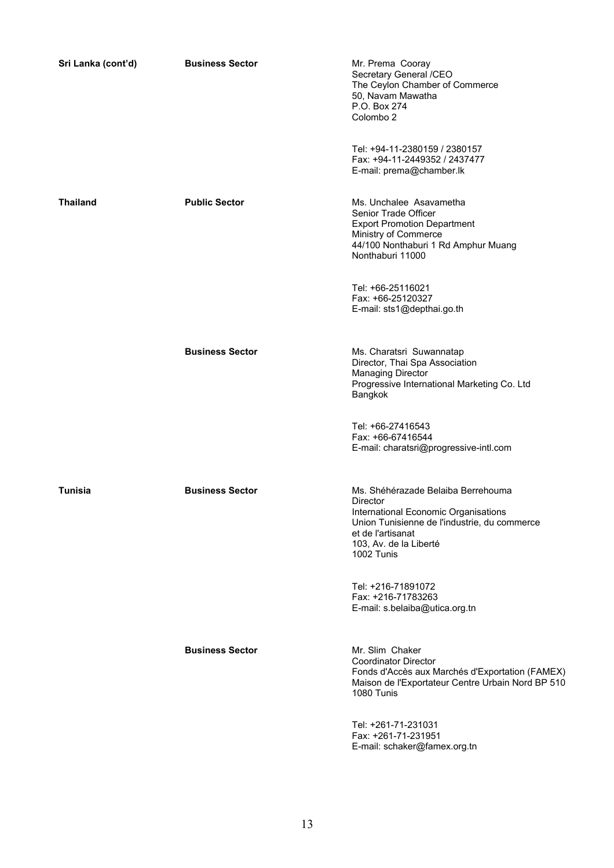| Sri Lanka (cont'd) | <b>Business Sector</b> | Mr. Prema Cooray<br>Secretary General /CEO<br>The Ceylon Chamber of Commerce<br>50, Navam Mawatha<br>P.O. Box 274<br>Colombo <sub>2</sub>                                                           |
|--------------------|------------------------|-----------------------------------------------------------------------------------------------------------------------------------------------------------------------------------------------------|
|                    |                        | Tel: +94-11-2380159 / 2380157<br>Fax: +94-11-2449352 / 2437477<br>E-mail: prema@chamber.lk                                                                                                          |
| <b>Thailand</b>    | <b>Public Sector</b>   | Ms. Unchalee Asavametha<br>Senior Trade Officer<br><b>Export Promotion Department</b><br>Ministry of Commerce<br>44/100 Nonthaburi 1 Rd Amphur Muang<br>Nonthaburi 11000                            |
|                    |                        | Tel: +66-25116021<br>Fax: +66-25120327<br>E-mail: sts1@depthai.go.th                                                                                                                                |
|                    | <b>Business Sector</b> | Ms. Charatsri Suwannatap<br>Director, Thai Spa Association<br><b>Managing Director</b><br>Progressive International Marketing Co. Ltd<br>Bangkok                                                    |
|                    |                        | Tel: +66-27416543<br>Fax: +66-67416544<br>E-mail: charatsri@progressive-intl.com                                                                                                                    |
| Tunisia            | <b>Business Sector</b> | Ms. Shéhérazade Belaiba Berrehouma<br>Director<br>International Economic Organisations<br>Union Tunisienne de l'industrie, du commerce<br>et de l'artisanat<br>103, Av. de la Liberté<br>1002 Tunis |
|                    |                        | Tel: +216-71891072<br>Fax: +216-71783263<br>E-mail: s.belaiba@utica.org.tn                                                                                                                          |
|                    | <b>Business Sector</b> | Mr. Slim Chaker<br><b>Coordinator Director</b><br>Fonds d'Accès aux Marchés d'Exportation (FAMEX)<br>Maison de l'Exportateur Centre Urbain Nord BP 510<br>1080 Tunis                                |
|                    |                        | Tel: +261-71-231031<br>Fax: +261-71-231951<br>E-mail: schaker@famex.org.tn                                                                                                                          |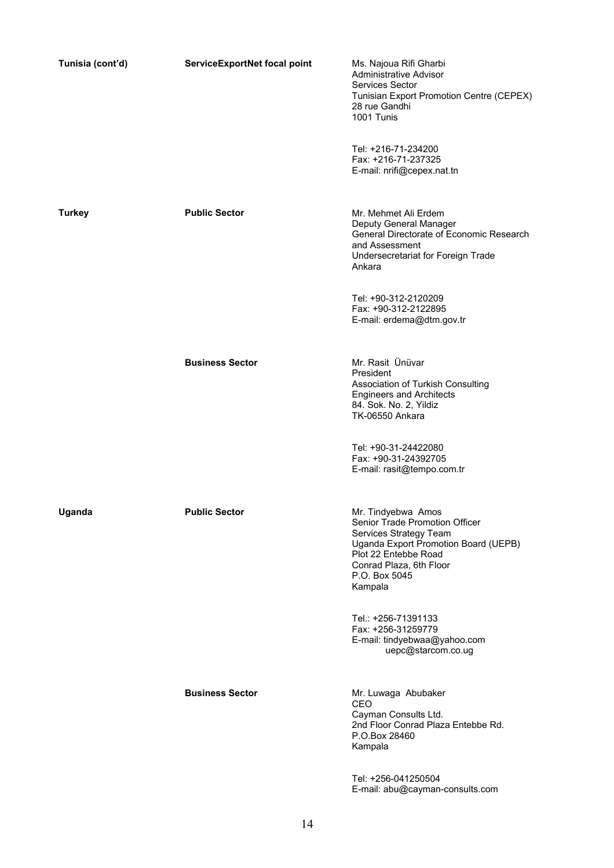| Tunisia (cont'd) | ServiceExportNet focal point | Ms. Najoua Rifi Gharbi<br><b>Administrative Advisor</b><br>Services Sector<br>Tunisian Export Promotion Centre (CEPEX)<br>28 rue Gandhi<br>1001 Tunis                                                 |
|------------------|------------------------------|-------------------------------------------------------------------------------------------------------------------------------------------------------------------------------------------------------|
|                  |                              | Tel: +216-71-234200<br>Fax: +216-71-237325<br>E-mail: nrifi@cepex.nat.tn                                                                                                                              |
| <b>Turkey</b>    | <b>Public Sector</b>         | Mr. Mehmet Ali Erdem<br>Deputy General Manager<br>General Directorate of Economic Research<br>and Assessment<br>Undersecretariat for Foreign Trade<br>Ankara                                          |
|                  |                              | Tel: +90-312-2120209<br>Fax: +90-312-2122895<br>E-mail: erdema@dtm.gov.tr                                                                                                                             |
|                  | <b>Business Sector</b>       | Mr. Rasit Ünüvar<br>President<br>Association of Turkish Consulting<br><b>Engineers and Architects</b><br>84. Sok. No. 2, Yildiz<br><b>TK-06550 Ankara</b>                                             |
|                  |                              | Tel: +90-31-24422080<br>Fax: +90-31-24392705<br>E-mail: rasit@tempo.com.tr                                                                                                                            |
| Uganda           | <b>Public Sector</b>         | Mr. Tindyebwa Amos<br>Senior Trade Promotion Officer<br>Services Strategy Team<br>Uganda Export Promotion Board (UEPB)<br>Plot 22 Entebbe Road<br>Conrad Plaza, 6th Floor<br>P.O. Box 5045<br>Kampala |
|                  |                              | Tel.: +256-71391133<br>Fax: +256-31259779<br>E-mail: tindyebwaa@yahoo.com<br>uepc@starcom.co.ug                                                                                                       |
|                  | <b>Business Sector</b>       | Mr. Luwaga Abubaker<br>CEO<br>Cayman Consults Ltd.<br>2nd Floor Conrad Plaza Entebbe Rd.<br>P.O.Box 28460<br>Kampala                                                                                  |
|                  |                              | Tel: +256-041250504<br>E-mail: abu@cayman-consults.com                                                                                                                                                |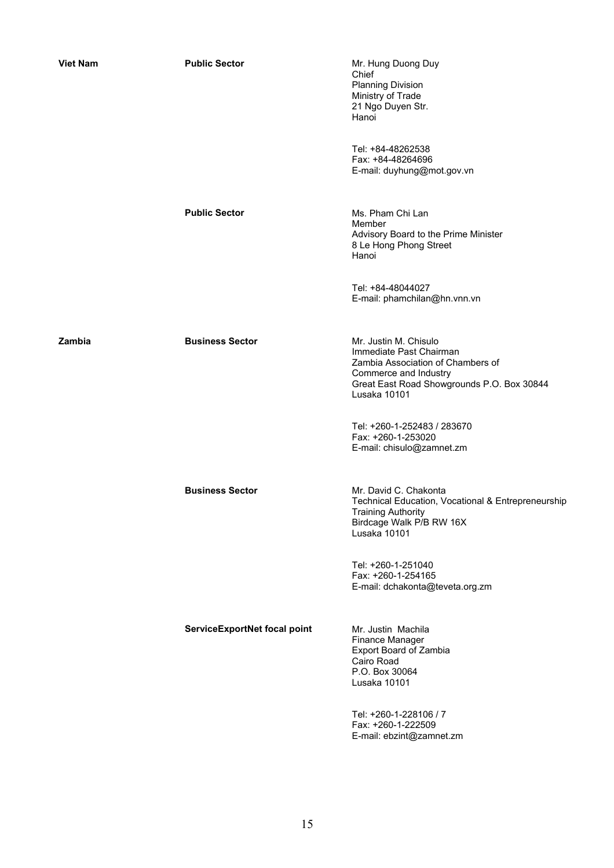| <b>Viet Nam</b> | <b>Public Sector</b>         | Mr. Hung Duong Duy<br>Chief<br><b>Planning Division</b><br>Ministry of Trade<br>21 Ngo Duyen Str.<br>Hanoi                                                                   |
|-----------------|------------------------------|------------------------------------------------------------------------------------------------------------------------------------------------------------------------------|
|                 |                              | Tel: +84-48262538<br>Fax: +84-48264696<br>E-mail: duyhung@mot.gov.vn                                                                                                         |
|                 | <b>Public Sector</b>         | Ms. Pham Chi Lan<br>Member<br>Advisory Board to the Prime Minister<br>8 Le Hong Phong Street<br>Hanoi                                                                        |
|                 |                              | Tel: +84-48044027<br>E-mail: phamchilan@hn.vnn.vn                                                                                                                            |
| Zambia          | <b>Business Sector</b>       | Mr. Justin M. Chisulo<br>Immediate Past Chairman<br>Zambia Association of Chambers of<br>Commerce and Industry<br>Great East Road Showgrounds P.O. Box 30844<br>Lusaka 10101 |
|                 |                              | Tel: +260-1-252483 / 283670<br>Fax: +260-1-253020<br>E-mail: chisulo@zamnet.zm                                                                                               |
|                 | <b>Business Sector</b>       | Mr. David C. Chakonta<br>Technical Education, Vocational & Entrepreneurship<br>Training Authority<br>Birdcage Walk P/B RW 16X<br>Lusaka 10101                                |
|                 |                              | Tel: +260-1-251040<br>Fax: +260-1-254165<br>E-mail: dchakonta@teveta.org.zm                                                                                                  |
|                 | ServiceExportNet focal point | Mr. Justin Machila<br>Finance Manager<br>Export Board of Zambia<br>Cairo Road<br>P.O. Box 30064<br>Lusaka 10101                                                              |
|                 |                              | Tel: +260-1-228106 / 7<br>Fax: +260-1-222509<br>E-mail: ebzint@zamnet.zm                                                                                                     |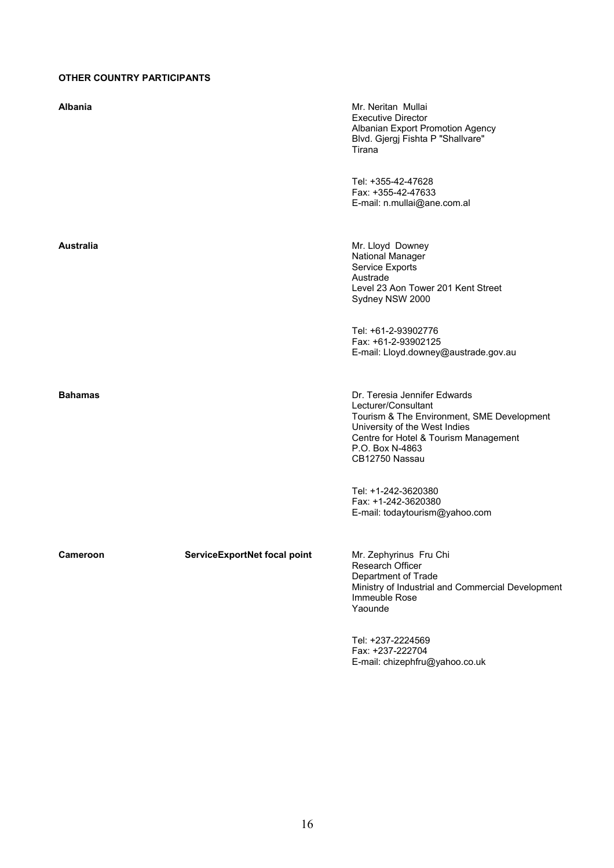# **OTHER COUNTRY PARTICIPANTS**

| Albania         |                              | Mr. Neritan Mullai<br><b>Executive Director</b><br>Albanian Export Promotion Agency<br>Blvd. Gjergj Fishta P "Shallvare"<br>Tirana                                                                               |
|-----------------|------------------------------|------------------------------------------------------------------------------------------------------------------------------------------------------------------------------------------------------------------|
|                 |                              | Tel: +355-42-47628<br>Fax: +355-42-47633<br>E-mail: n.mullai@ane.com.al                                                                                                                                          |
| Australia       |                              | Mr. Lloyd Downey<br>National Manager<br>Service Exports<br>Austrade<br>Level 23 Aon Tower 201 Kent Street<br>Sydney NSW 2000                                                                                     |
|                 |                              | Tel: +61-2-93902776<br>Fax: +61-2-93902125<br>E-mail: Lloyd.downey@austrade.gov.au                                                                                                                               |
| <b>Bahamas</b>  |                              | Dr. Teresia Jennifer Edwards<br>Lecturer/Consultant<br>Tourism & The Environment, SME Development<br>University of the West Indies<br>Centre for Hotel & Tourism Management<br>P.O. Box N-4863<br>CB12750 Nassau |
|                 |                              | Tel: +1-242-3620380<br>Fax: +1-242-3620380<br>E-mail: todaytourism@yahoo.com                                                                                                                                     |
| <b>Cameroon</b> | ServiceExportNet focal point | Mr. Zephyrinus Fru Chi<br>Research Officer<br>Department of Trade<br>Ministry of Industrial and Commercial Development<br>Immeuble Rose<br>Yaounde                                                               |
|                 |                              | Tel: +237-2224569<br>Fax: +237-222704<br>E-mail: chizephfru@yahoo.co.uk                                                                                                                                          |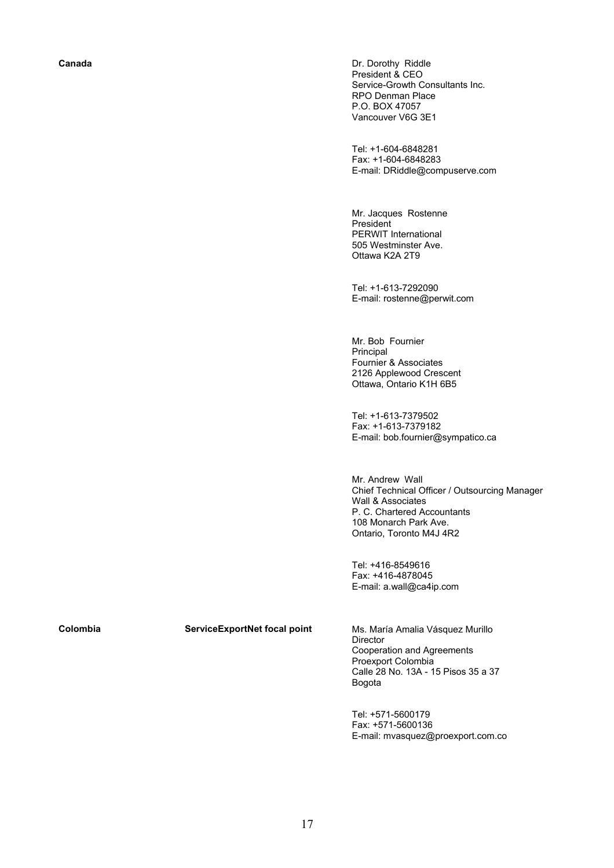**Canada Dr. Dorothy Riddle Canada Dr. Dorothy Riddle** President & CEO Service-Growth Consultants Inc. RPO Denman Place P.O. BOX 47057 Vancouver V6G 3E1

> Tel: +1-604-6848281 Fax: +1-604-6848283 E-mail: DRiddle@compuserve.com

Mr. Jacques Rostenne President PERWIT International 505 Westminster Ave. Ottawa K2A 2T9

Tel: +1-613-7292090 E-mail: rostenne@perwit.com

Mr. Bob Fournier Principal Fournier & Associates 2126 Applewood Crescent Ottawa, Ontario K1H 6B5

Tel: +1-613-7379502 Fax: +1-613-7379182 E-mail: bob.fournier@sympatico.ca

Mr. Andrew Wall Chief Technical Officer / Outsourcing Manager Wall & Associates P. C. Chartered Accountants 108 Monarch Park Ave. Ontario, Toronto M4J 4R2

Tel: +416-8549616 Fax: +416-4878045 E-mail: a.wall@ca4ip.com

**Colombia ServiceExportNet focal point** Ms. María Amalia Vásquez Murillo Director Cooperation and Agreements Proexport Colombia Calle 28 No. 13A - 15 Pisos 35 a 37 Bogota

> Tel: +571-5600179 Fax: +571-5600136 E-mail: mvasquez@proexport.com.co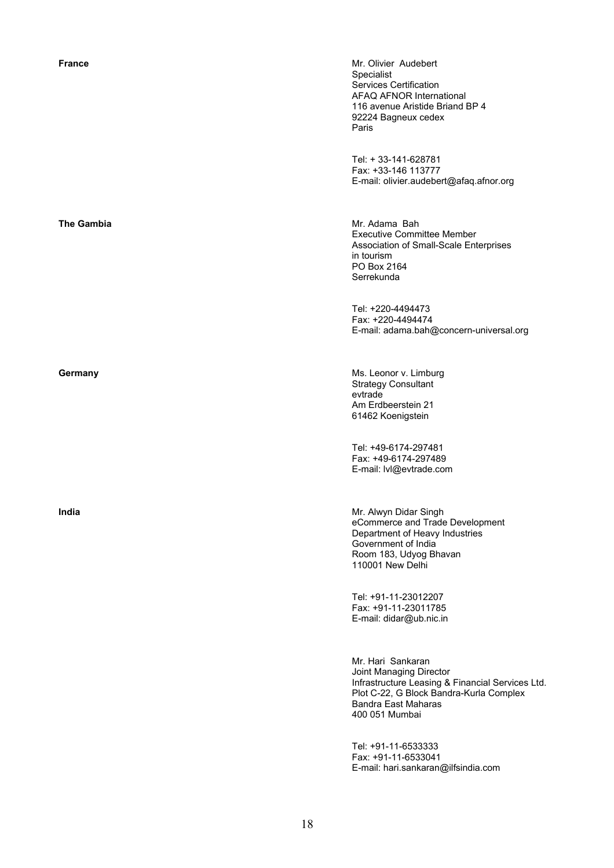| France            | Mr. Olivier Audebert<br>Specialist<br>Services Certification<br>AFAQ AFNOR International<br>116 avenue Aristide Briand BP 4<br>92224 Bagneux cedex<br>Paris                          |
|-------------------|--------------------------------------------------------------------------------------------------------------------------------------------------------------------------------------|
|                   | Tel: + 33-141-628781<br>Fax: +33-146 113777<br>E-mail: olivier.audebert@afaq.afnor.org                                                                                               |
| <b>The Gambia</b> | Mr. Adama Bah<br><b>Executive Committee Member</b><br>Association of Small-Scale Enterprises<br>in tourism<br>PO Box 2164<br>Serrekunda                                              |
|                   | Tel: +220-4494473<br>Fax: +220-4494474<br>E-mail: adama.bah@concern-universal.org                                                                                                    |
| Germany           | Ms. Leonor v. Limburg<br><b>Strategy Consultant</b><br>evtrade<br>Am Erdbeerstein 21<br>61462 Koenigstein                                                                            |
|                   | Tel: +49-6174-297481<br>Fax: +49-6174-297489<br>E-mail: lvl@evtrade.com                                                                                                              |
| India             | Mr. Alwyn Didar Singh<br>eCommerce and Trade Development<br>Department of Heavy Industries<br>Government of India<br>Room 183, Udyog Bhavan<br>110001 New Delhi                      |
|                   | Tel: +91-11-23012207<br>Fax: +91-11-23011785<br>E-mail: didar@ub.nic.in                                                                                                              |
|                   | Mr. Hari Sankaran<br>Joint Managing Director<br>Infrastructure Leasing & Financial Services Ltd.<br>Plot C-22, G Block Bandra-Kurla Complex<br>Bandra East Maharas<br>400 051 Mumbai |
|                   | Tel: +91-11-6533333<br>Fax: +91-11-6533041<br>E-mail: hari.sankaran@ilfsindia.com                                                                                                    |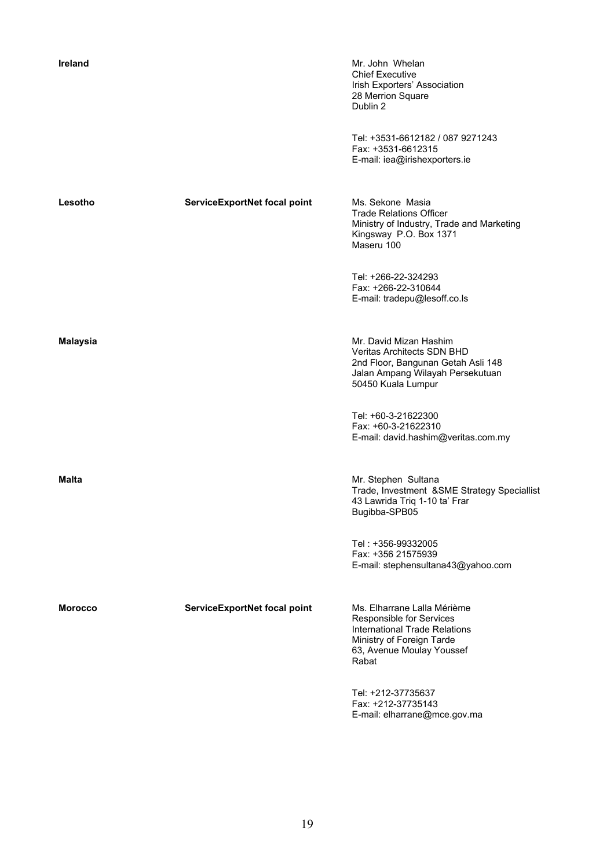| Ireland        |                              | Mr. John Whelan<br><b>Chief Executive</b><br>Irish Exporters' Association<br>28 Merrion Square<br>Dublin 2                                                  |
|----------------|------------------------------|-------------------------------------------------------------------------------------------------------------------------------------------------------------|
|                |                              | Tel: +3531-6612182 / 087 9271243<br>Fax: +3531-6612315<br>E-mail: iea@irishexporters.ie                                                                     |
| Lesotho        | ServiceExportNet focal point | Ms. Sekone Masia<br><b>Trade Relations Officer</b><br>Ministry of Industry, Trade and Marketing<br>Kingsway P.O. Box 1371<br>Maseru 100                     |
|                |                              | Tel: +266-22-324293<br>Fax: +266-22-310644<br>E-mail: tradepu@lesoff.co.ls                                                                                  |
| Malaysia       |                              | Mr. David Mizan Hashim<br><b>Veritas Architects SDN BHD</b><br>2nd Floor, Bangunan Getah Asli 148<br>Jalan Ampang Wilayah Persekutuan<br>50450 Kuala Lumpur |
|                |                              | Tel: +60-3-21622300<br>Fax: +60-3-21622310<br>E-mail: david.hashim@veritas.com.my                                                                           |
| Malta          |                              | Mr. Stephen Sultana<br>Trade, Investment &SME Strategy Speciallist<br>43 Lawrida Triq 1-10 ta' Frar<br>Bugibba-SPB05                                        |
|                |                              | Tel: +356-99332005<br>Fax: +356 21575939<br>E-mail: stephensultana43@yahoo.com                                                                              |
| <b>Morocco</b> | ServiceExportNet focal point | Ms. Elharrane Lalla Mérième<br>Responsible for Services<br>International Trade Relations<br>Ministry of Foreign Tarde<br>63, Avenue Moulay Youssef<br>Rabat |
|                |                              | Tel: +212-37735637<br>Fax: +212-37735143<br>E-mail: elharrane@mce.gov.ma                                                                                    |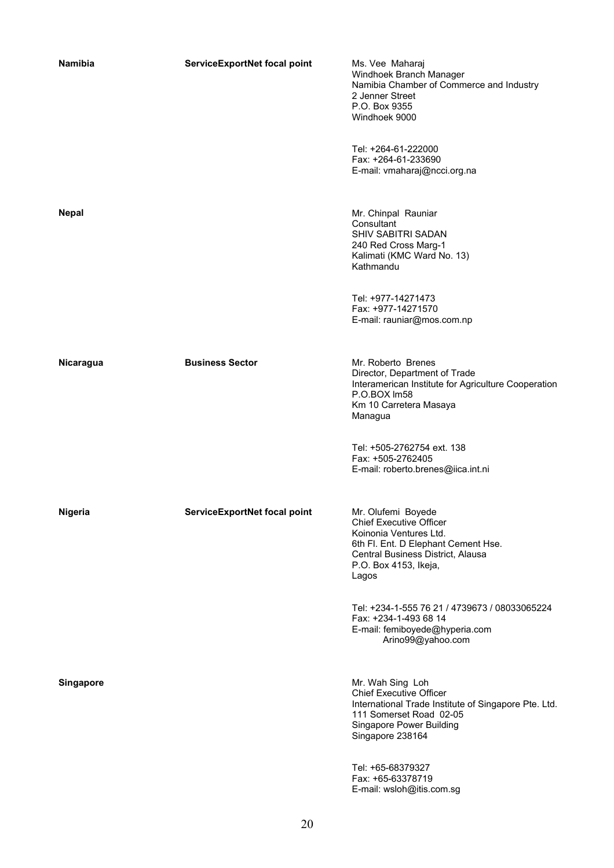| <b>Namibia</b>   | ServiceExportNet focal point | Ms. Vee Maharaj<br>Windhoek Branch Manager<br>Namibia Chamber of Commerce and Industry<br>2 Jenner Street<br>P.O. Box 9355<br>Windhoek 9000                                                  |
|------------------|------------------------------|----------------------------------------------------------------------------------------------------------------------------------------------------------------------------------------------|
|                  |                              | Tel: +264-61-222000<br>Fax: +264-61-233690<br>E-mail: vmaharaj@ncci.org.na                                                                                                                   |
| <b>Nepal</b>     |                              | Mr. Chinpal Rauniar<br>Consultant<br>SHIV SABITRI SADAN<br>240 Red Cross Marg-1<br>Kalimati (KMC Ward No. 13)<br>Kathmandu                                                                   |
|                  |                              | Tel: +977-14271473<br>Fax: +977-14271570<br>E-mail: rauniar@mos.com.np                                                                                                                       |
| Nicaragua        | <b>Business Sector</b>       | Mr. Roberto Brenes<br>Director, Department of Trade<br>Interamerican Institute for Agriculture Cooperation<br>P.O.BOX Im58<br>Km 10 Carretera Masaya<br>Managua                              |
|                  |                              | Tel: +505-2762754 ext. 138<br>Fax: +505-2762405<br>E-mail: roberto.brenes@iica.int.ni                                                                                                        |
| Nigeria          | ServiceExportNet focal point | Mr. Olufemi Boyede<br><b>Chief Executive Officer</b><br>Koinonia Ventures Ltd.<br>6th Fl. Ent. D Elephant Cement Hse.<br>Central Business District, Alausa<br>P.O. Box 4153, Ikeja,<br>Lagos |
|                  |                              | Tel: +234-1-555 76 21 / 4739673 / 08033065224<br>Fax: +234-1-493 68 14<br>E-mail: femiboyede@hyperia.com<br>Arino99@yahoo.com                                                                |
| <b>Singapore</b> |                              | Mr. Wah Sing Loh<br><b>Chief Executive Officer</b><br>International Trade Institute of Singapore Pte. Ltd.<br>111 Somerset Road 02-05<br>Singapore Power Building<br>Singapore 238164        |
|                  |                              | Tel: +65-68379327<br>Fax: +65-63378719<br>E-mail: wsloh@itis.com.sg                                                                                                                          |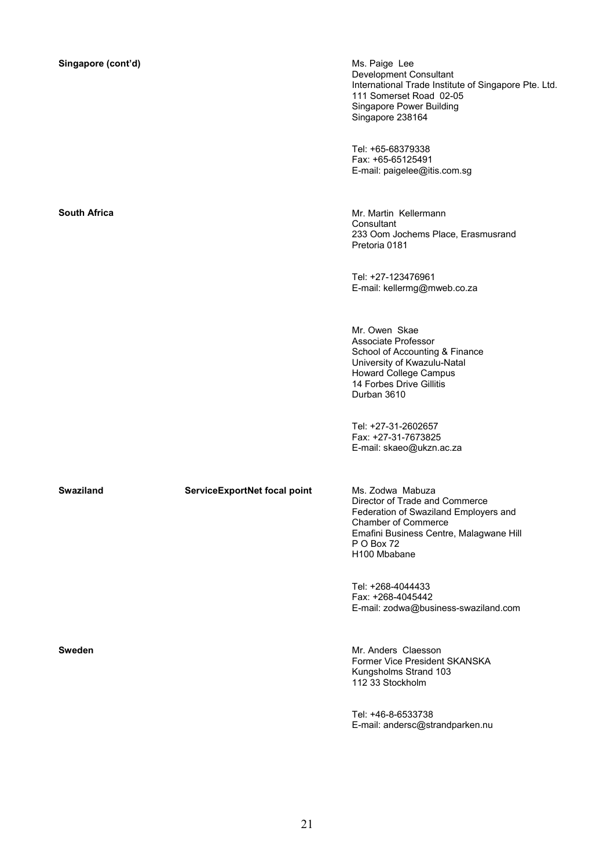| Singapore (cont'd) |  |  |
|--------------------|--|--|
|--------------------|--|--|

**Ms. Paige Lee** Development Consultant International Trade Institute of Singapore Pte. Ltd. 111 Somerset Road 02-05 Singapore Power Building Singapore 238164

Tel: +65-68379338 Fax: +65-65125491 E-mail: paigelee@itis.com.sg

**South Africa Mr. Martin Kellermann** Consultant 233 Oom Jochems Place, Erasmusrand Pretoria 0181

> Tel: +27-123476961 E-mail: kellermg@mweb.co.za

Mr. Owen Skae Associate Professor School of Accounting & Finance University of Kwazulu-Natal Howard College Campus 14 Forbes Drive Gillitis Durban 3610

Tel: +27-31-2602657 Fax: +27-31-7673825 E-mail: skaeo@ukzn.ac.za

# Swaziland **ServiceExportNet focal point** Ms. Zodwa Mabuza

Director of Trade and Commerce Federation of Swaziland Employers and Chamber of Commerce Emafini Business Centre, Malagwane Hill P O Box 72 H100 Mbabane

Tel: +268-4044433 Fax: +268-4045442 E-mail: zodwa@business-swaziland.com

**Sweden Sweden Sweden Mr. Anders Claesson** Former Vice President SKANSKA Kungsholms Strand 103 112 33 Stockholm

> Tel: +46-8-6533738 E-mail: andersc@strandparken.nu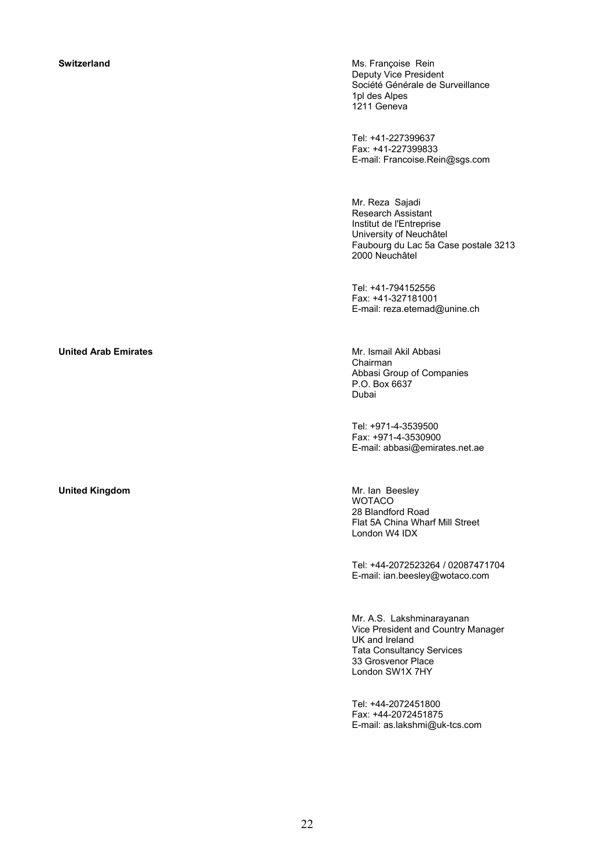**Switzerland** Ms. Françoise Rein **Ms. Françoise Rein** Deputy Vice President Société Générale de Surveillance 1pl des Alpes 1211 Geneva

> Tel: +41-227399637 Fax: +41-227399833 E-mail: Francoise.Rein@sgs.com

Mr. Reza Sajadi Research Assistant Institut de l'Entreprise University of Neuchâtel Faubourg du Lac 5a Case postale 3213 2000 Neuchâtel

Tel: +41-794152556 Fax: +41-327181001 E-mail: reza.etemad@unine.ch

# Chairman Abbasi Group of Companies P.O. Box 6637 Dubai

Tel: +971-4-3539500 Fax: +971-4-3530900 E-mail: abbasi@emirates.net.ae

**United Kingdom Mr. Ian Beesley WOTACO** 28 Blandford Road Flat 5A China Wharf Mill Street London W4 IDX

> Tel: +44-2072523264 / 02087471704 E-mail: ian.beesley@wotaco.com

> Mr. A.S. Lakshminarayanan Vice President and Country Manager UK and Ireland Tata Consultancy Services 33 Grosvenor Place London SW1X 7HY

Tel: +44-2072451800 Fax: +44-2072451875 E-mail: as.lakshmi@uk-tcs.com

# **United Arab Emirates Mr. Ismail Akil Abbasi**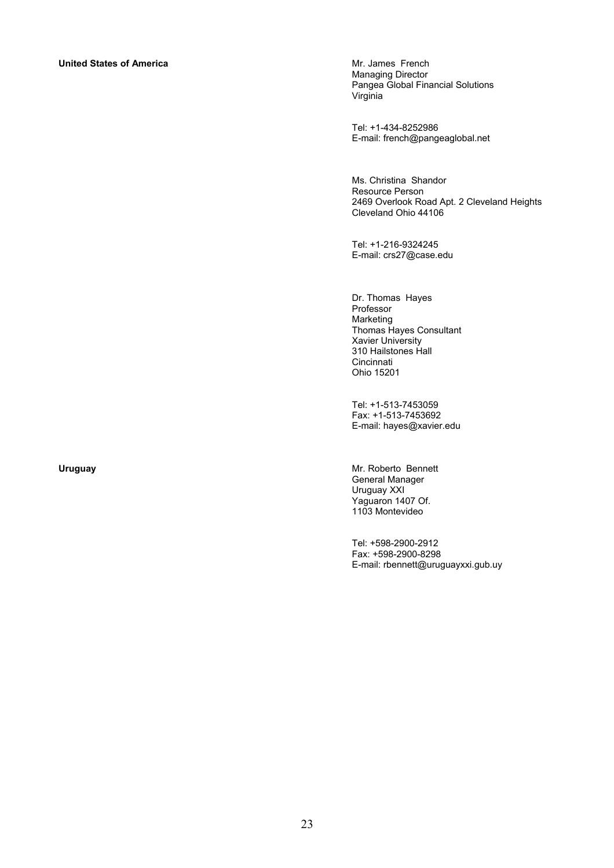# **United States of America Mr. James French**

Managing Director Pangea Global Financial Solutions Virginia

Tel: +1-434-8252986 E-mail: french@pangeaglobal.net

Ms. Christina Shandor Resource Person 2469 Overlook Road Apt. 2 Cleveland Heights Cleveland Ohio 44106

Tel: +1-216-9324245 E-mail: crs27@case.edu

Dr. Thomas Hayes Professor Marketing Thomas Hayes Consultant Xavier University 310 Hailstones Hall **Cincinnati** Ohio 15201

Tel: +1-513-7453059 Fax: +1-513-7453692 E-mail: hayes@xavier.edu

**Uruguay Mr. Roberto Bennett** General Manager Uruguay XXI Yaguaron 1407 Of. 1103 Montevideo

> Tel: +598-2900-2912 Fax: +598-2900-8298 E-mail: rbennett@uruguayxxi.gub.uy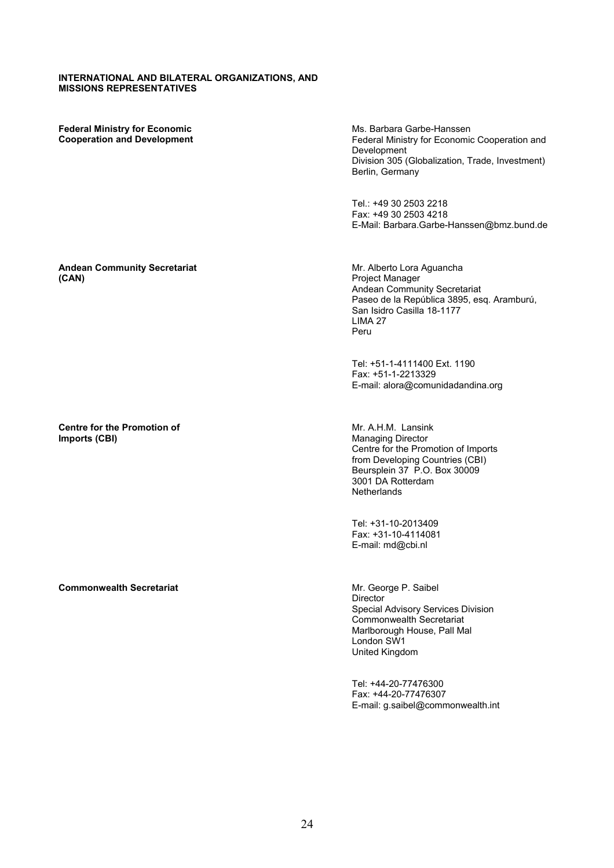### **INTERNATIONAL AND BILATERAL ORGANIZATIONS, AND MISSIONS REPRESENTATIVES**

**Federal Ministry for Economic Cooperation and Development**  Ms. Barbara Garbe-Hanssen Federal Ministry for Economic Cooperation and Development Division 305 (Globalization, Trade, Investment) Berlin, Germany

Tel.: +49 30 2503 2218 Fax: +49 30 2503 4218 E-Mail: Barbara.Garbe-Hanssen@bmz.bund.de

#### **Andean Community Secretariat (CAN)**

**Centre for the Promotion of Imports (CBI)** 

**Commonwealth Secretariat** Mr. George P. Saibel

Mr. Alberto Lora Aguancha Project Manager Andean Community Secretariat Paseo de la República 3895, esq. Aramburú, San Isidro Casilla 18-1177 LIMA 27 Peru

Tel: +51-1-4111400 Ext. 1190 Fax: +51-1-2213329 E-mail: alora@comunidadandina.org

Mr. A.H.M. Lansink Managing Director Centre for the Promotion of Imports from Developing Countries (CBI) Beursplein 37 P.O. Box 30009 3001 DA Rotterdam **Netherlands** 

Tel: +31-10-2013409 Fax: +31-10-4114081 E-mail: md@cbi.nl

Director Special Advisory Services Division Commonwealth Secretariat Marlborough House, Pall Mal London SW1 United Kingdom

Tel: +44-20-77476300 Fax: +44-20-77476307 E-mail: g.saibel@commonwealth.int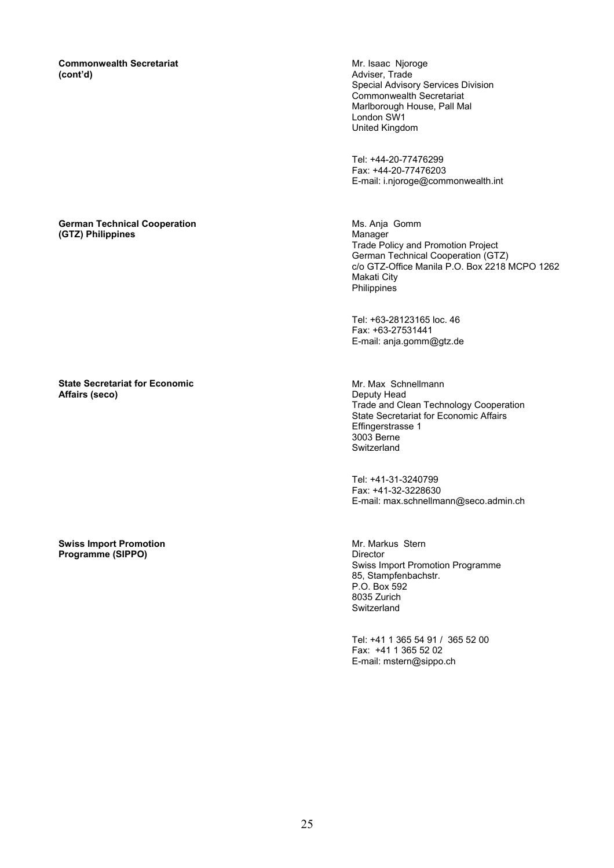**Commonwealth Secretariat (cont'd)** 

### **German Technical Cooperation (GTZ) Philippines**

## **State Secretariat for Economic Affairs (seco)**

#### **Swiss Import Promotion Programme (SIPPO)**

Mr. Isaac Njoroge Adviser, Trade Special Advisory Services Division Commonwealth Secretariat Marlborough House, Pall Mal London SW1 United Kingdom

Tel: +44-20-77476299 Fax: +44-20-77476203 E-mail: i.njoroge@commonwealth.int

Ms. Anja Gomm Manager Trade Policy and Promotion Project German Technical Cooperation (GTZ) c/o GTZ-Office Manila P.O. Box 2218 MCPO 1262 Makati City **Philippines** 

Tel: +63-28123165 loc. 46 Fax: +63-27531441 E-mail: anja.gomm@gtz.de

Mr. Max Schnellmann Deputy Head Trade and Clean Technology Cooperation State Secretariat for Economic Affairs Effingerstrasse 1 3003 Berne **Switzerland** 

Tel: +41-31-3240799 Fax: +41-32-3228630 E-mail: max.schnellmann@seco.admin.ch

Mr. Markus Stern Director Swiss Import Promotion Programme 85, Stampfenbachstr. P.O. Box 592 8035 Zurich **Switzerland** 

Tel: +41 1 365 54 91 / 365 52 00 Fax: +41 1 365 52 02 E-mail: mstern@sippo.ch